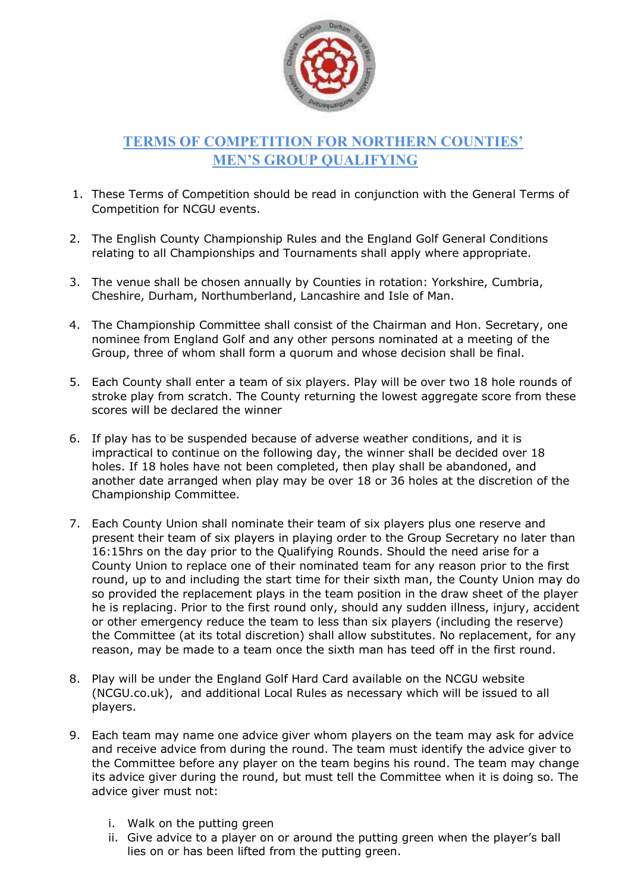

## TERMS OF COMPETITION FOR NORTHERN COUNTIES' MEN'S GROUP QUALIFYING

- 1. These Terms of Competition should be read in conjunction with the General Terms of Competition for NCGU events.
- 2. The English County Championship Rules and the England Golf General Conditions relating to all Championships and Tournaments shall apply where appropriate.
- 3. The venue shall be chosen annually by Counties in rotation: Yorkshire, Cumbria, Cheshire, Durham, Northumberland, Lancashire and Isle of Man.
- 4. The Championship Committee shall consist of the Chairman and Hon. Secretary, one nominee from England Golf and any other persons nominated at a meeting of the Group, three of whom shall form a quorum and whose decision shall be final.
- 5. Each County shall enter a team of six players. Play will be over two 18 hole rounds of stroke play from scratch. The County returning the lowest aggregate score from these scores will be declared the winner
- 6. If play has to be suspended because of adverse weather conditions, and it is impractical to continue on the following day, the winner shall be decided over 18 holes. If 18 holes have not been completed, then play shall be abandoned, and another date arranged when play may be over 18 or 36 holes at the discretion of the Championship Committee.
- 7. Each County Union shall nominate their team of six players plus one reserve and present their team of six players in playing order to the Group Secretary no later than 16:15hrs on the day prior to the Qualifying Rounds. Should the need arise for a County Union to replace one of their nominated team for any reason prior to the first round, up to and including the start time for their sixth man, the County Union may do so provided the replacement plays in the team position in the draw sheet of the player he is replacing. Prior to the first round only, should any sudden illness, injury, accident or other emergency reduce the team to less than six players (including the reserve) the Committee (at its total discretion) shall allow substitutes. No replacement, for any reason, may be made to a team once the sixth man has teed off in the first round.
- 8. Play will be under the England Golf Hard Card available on the NCGU website (NCGU.co.uk), and additional Local Rules as necessary which will be issued to all players.
- 9. Each team may name one advice giver whom players on the team may ask for advice and receive advice from during the round. The team must identify the advice giver to the Committee before any player on the team begins his round. The team may change its advice giver during the round, but must tell the Committee when it is doing so. The advice giver must not:
	- i. Walk on the putting green
	- ii. Give advice to a player on or around the putting green when the player's ball lies on or has been lifted from the putting green.